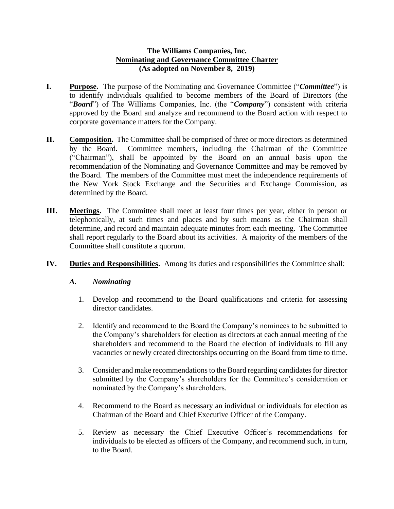## **The Williams Companies, Inc. Nominating and Governance Committee Charter (As adopted on November 8, 2019)**

- **I. Purpose.** The purpose of the Nominating and Governance Committee ("*Committee*") is to identify individuals qualified to become members of the Board of Directors (the "*Board*") of The Williams Companies, Inc. (the "*Company*") consistent with criteria approved by the Board and analyze and recommend to the Board action with respect to corporate governance matters for the Company.
- **II. Composition.** The Committee shall be comprised of three or more directors as determined by the Board. Committee members, including the Chairman of the Committee ("Chairman"), shall be appointed by the Board on an annual basis upon the recommendation of the Nominating and Governance Committee and may be removed by the Board. The members of the Committee must meet the independence requirements of the New York Stock Exchange and the Securities and Exchange Commission, as determined by the Board.
- **III. Meetings.** The Committee shall meet at least four times per year, either in person or telephonically, at such times and places and by such means as the Chairman shall determine, and record and maintain adequate minutes from each meeting. The Committee shall report regularly to the Board about its activities. A majority of the members of the Committee shall constitute a quorum.
- **IV. Duties and Responsibilities.** Among its duties and responsibilities the Committee shall:

## *A. Nominating*

- 1. Develop and recommend to the Board qualifications and criteria for assessing director candidates.
- 2. Identify and recommend to the Board the Company's nominees to be submitted to the Company's shareholders for election as directors at each annual meeting of the shareholders and recommend to the Board the election of individuals to fill any vacancies or newly created directorships occurring on the Board from time to time.
- 3. Consider and make recommendations to the Board regarding candidates for director submitted by the Company's shareholders for the Committee's consideration or nominated by the Company's shareholders.
- 4. Recommend to the Board as necessary an individual or individuals for election as Chairman of the Board and Chief Executive Officer of the Company.
- 5. Review as necessary the Chief Executive Officer's recommendations for individuals to be elected as officers of the Company, and recommend such, in turn, to the Board.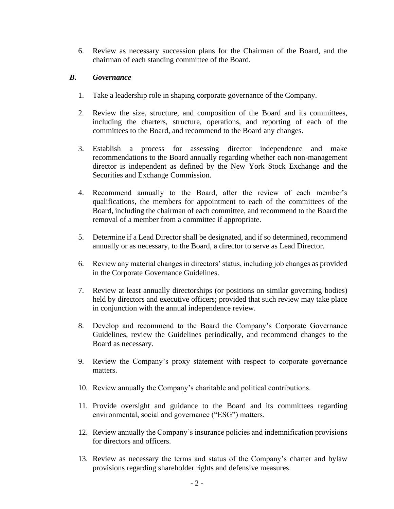6. Review as necessary succession plans for the Chairman of the Board, and the chairman of each standing committee of the Board.

## *B. Governance*

- 1. Take a leadership role in shaping corporate governance of the Company.
- 2. Review the size, structure, and composition of the Board and its committees, including the charters, structure, operations, and reporting of each of the committees to the Board, and recommend to the Board any changes.
- 3. Establish a process for assessing director independence and make recommendations to the Board annually regarding whether each non-management director is independent as defined by the New York Stock Exchange and the Securities and Exchange Commission.
- 4. Recommend annually to the Board, after the review of each member's qualifications, the members for appointment to each of the committees of the Board, including the chairman of each committee, and recommend to the Board the removal of a member from a committee if appropriate.
- 5. Determine if a Lead Director shall be designated, and if so determined, recommend annually or as necessary, to the Board, a director to serve as Lead Director.
- 6. Review any material changes in directors' status, including job changes as provided in the Corporate Governance Guidelines.
- 7. Review at least annually directorships (or positions on similar governing bodies) held by directors and executive officers; provided that such review may take place in conjunction with the annual independence review.
- 8. Develop and recommend to the Board the Company's Corporate Governance Guidelines, review the Guidelines periodically, and recommend changes to the Board as necessary.
- 9. Review the Company's proxy statement with respect to corporate governance matters.
- 10. Review annually the Company's charitable and political contributions.
- 11. Provide oversight and guidance to the Board and its committees regarding environmental, social and governance ("ESG") matters.
- 12. Review annually the Company's insurance policies and indemnification provisions for directors and officers.
- 13. Review as necessary the terms and status of the Company's charter and bylaw provisions regarding shareholder rights and defensive measures.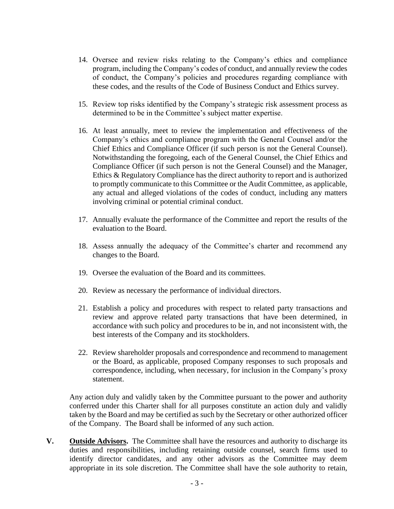- 14. Oversee and review risks relating to the Company's ethics and compliance program, including the Company's codes of conduct, and annually review the codes of conduct, the Company's policies and procedures regarding compliance with these codes, and the results of the Code of Business Conduct and Ethics survey.
- 15. Review top risks identified by the Company's strategic risk assessment process as determined to be in the Committee's subject matter expertise.
- 16. At least annually, meet to review the implementation and effectiveness of the Company's ethics and compliance program with the General Counsel and/or the Chief Ethics and Compliance Officer (if such person is not the General Counsel). Notwithstanding the foregoing, each of the General Counsel, the Chief Ethics and Compliance Officer (if such person is not the General Counsel) and the Manager, Ethics & Regulatory Compliance has the direct authority to report and is authorized to promptly communicate to this Committee or the Audit Committee, as applicable, any actual and alleged violations of the codes of conduct, including any matters involving criminal or potential criminal conduct.
- 17. Annually evaluate the performance of the Committee and report the results of the evaluation to the Board.
- 18. Assess annually the adequacy of the Committee's charter and recommend any changes to the Board.
- 19. Oversee the evaluation of the Board and its committees.
- 20. Review as necessary the performance of individual directors.
- 21. Establish a policy and procedures with respect to related party transactions and review and approve related party transactions that have been determined, in accordance with such policy and procedures to be in, and not inconsistent with, the best interests of the Company and its stockholders.
- 22. Review shareholder proposals and correspondence and recommend to management or the Board, as applicable, proposed Company responses to such proposals and correspondence, including, when necessary, for inclusion in the Company's proxy statement.

Any action duly and validly taken by the Committee pursuant to the power and authority conferred under this Charter shall for all purposes constitute an action duly and validly taken by the Board and may be certified as such by the Secretary or other authorized officer of the Company. The Board shall be informed of any such action.

**V. Outside Advisors.** The Committee shall have the resources and authority to discharge its duties and responsibilities, including retaining outside counsel, search firms used to identify director candidates, and any other advisors as the Committee may deem appropriate in its sole discretion. The Committee shall have the sole authority to retain,